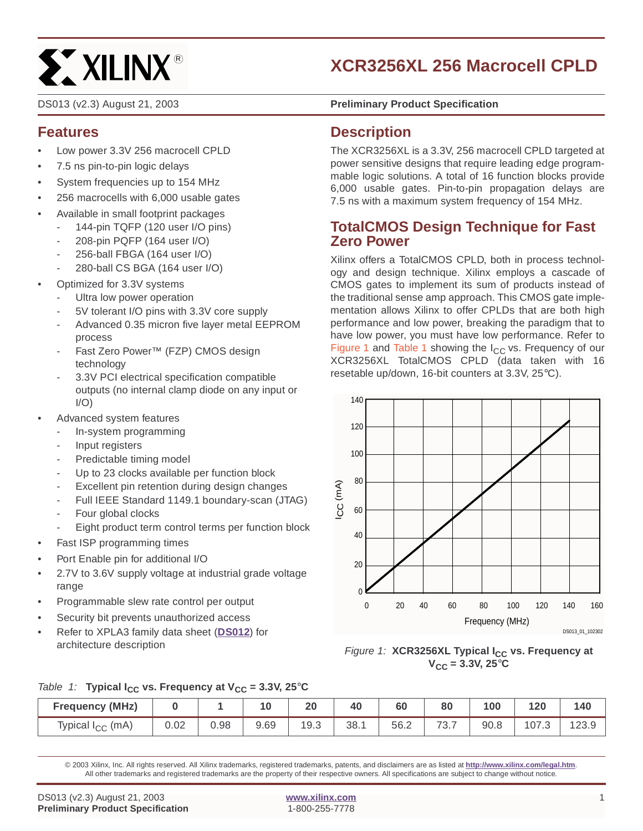# **ST XILINX®**

# **XCR3256XL 256 Macrocell CPLD**

## **Features**

- Low power 3.3V 256 macrocell CPLD
- 7.5 ns pin-to-pin logic delays
- System frequencies up to 154 MHz
- 256 macrocells with 6,000 usable gates
- Available in small footprint packages
	- 144-pin TQFP (120 user I/O pins)
	- 208-pin PQFP (164 user I/O)
	- 256-ball FBGA (164 user I/O)
	- 280-ball CS BGA (164 user I/O)
- Optimized for 3.3V systems
	- Ultra low power operation
	- 5V tolerant I/O pins with 3.3V core supply
	- Advanced 0.35 micron five layer metal EEPROM process
	- Fast Zero Power™ (FZP) CMOS design technology
	- 3.3V PCI electrical specification compatible outputs (no internal clamp diode on any input or  $I/O$
- Advanced system features
	- In-system programming
	- Input registers
	- Predictable timing model
	- Up to 23 clocks available per function block
	- Excellent pin retention during design changes
	- Full IEEE Standard 1149.1 boundary-scan (JTAG)
	- Four global clocks
	- Eight product term control terms per function block
- Fast ISP programming times
- Port Enable pin for additional I/O
- 2.7V to 3.6V supply voltage at industrial grade voltage range
- Programmable slew rate control per output
- Security bit prevents unauthorized access
- Refer to XPLA3 family data sheet (**[DS012](http://www.xilinx.com/bvdocs/publications/ds012.pdf)**) for architecture description

DS013 (v2.3) August 21, 2003 **0 141 Contract Preliminary Product Specification** 

### **Description**

The XCR3256XL is a 3.3V, 256 macrocell CPLD targeted at power sensitive designs that require leading edge programmable logic solutions. A total of 16 function blocks provide 6,000 usable gates. Pin-to-pin propagation delays are 7.5 ns with a maximum system frequency of 154 MHz.

## **TotalCMOS Design Technique for Fast Zero Power**

Xilinx offers a TotalCMOS CPLD, both in process technology and design technique. Xilinx employs a cascade of CMOS gates to implement its sum of products instead of the traditional sense amp approach. This CMOS gate implementation allows Xilinx to offer CPLDs that are both high performance and low power, breaking the paradigm that to have low power, you must have low performance. Refer to [Figure 1](#page-0-0) and [Table 1](#page-0-1) showing the  $I_{CC}$  vs. Frequency of our XCR3256XL TotalCMOS CPLD (data taken with 16 resetable up/down, 16-bit counters at 3.3V, 25°C).



#### <span id="page-0-0"></span>Figure 1: XCR3256XL Typical I<sub>CC</sub> vs. Frequency at  $V_{CC} = 3.3V, 25^{\circ}C$

#### <span id="page-0-1"></span>Table 1: **Typical I<sub>CC</sub> vs. Frequency at**  $V_{CC} = 3.3V$ **, 25°C**

| <b>Frequency (MHz)</b>       |      |      | 10   | 20   | 40  | 60   | 80   | 100  | 120            | 140  |
|------------------------------|------|------|------|------|-----|------|------|------|----------------|------|
| Typical I <sub>CC</sub> (mA) | 0.02 | 0.98 | 9.69 | 19.3 | 38. | 56.2 | 73.1 | 90.8 | ن <i>:</i> 107 | ∠ు.అ |

© 2003 Xilinx, Inc. All rights reserved. All Xilinx trademarks, registered trademarks, patents, and disclaimers are as listed at **http://www.xilinx.com/legal.htm**. All other trademarks and registered trademarks are the property of their respective owners. All specifications are subject to change without notice.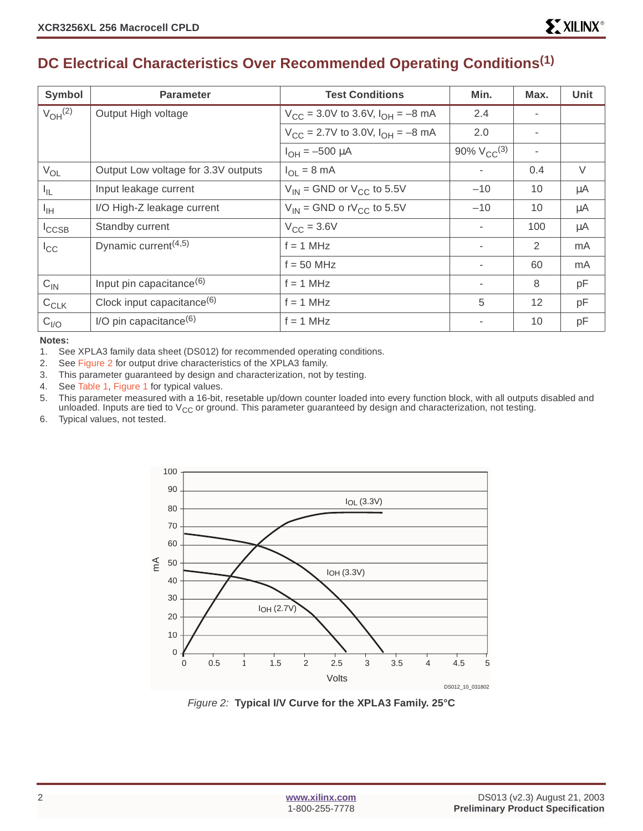# **DC Electrical Characteristics Over Recommended Operating Conditions(1)**

| <b>Symbol</b>           | <b>Parameter</b>                              | <b>Test Conditions</b>                                  | Min.                     | Max.           | <b>Unit</b> |
|-------------------------|-----------------------------------------------|---------------------------------------------------------|--------------------------|----------------|-------------|
| $V_{OH}$ <sup>(2)</sup> | Output High voltage                           | $V_{\text{CC}}$ = 3.0V to 3.6V, $I_{\text{OH}}$ = -8 mA | 2.4                      |                |             |
|                         |                                               | $V_{CC}$ = 2.7V to 3.0V, $I_{OH}$ = -8 mA               | 2.0                      |                |             |
|                         |                                               | $I_{OH} = -500 \mu A$                                   | 90% $V_{CC}^{(3)}$       | $\blacksquare$ |             |
| $V_{OL}$                | Output Low voltage for 3.3V outputs           | $I_{\Omega I}$ = 8 mA                                   | $\sim$                   | 0.4            | V           |
| $I_{\parallel L}$       | Input leakage current                         | $V_{IN}$ = GND or $V_{CC}$ to 5.5V                      | $-10$                    | 10             | μA          |
| $I_{\text{IH}}$         | I/O High-Z leakage current                    | $V_{IN}$ = GND o rV <sub>CC</sub> to 5.5V               | $-10$                    | 10             | $\mu$ A     |
| $I_{\text{CCSB}}$       | Standby current                               | $V_{\text{CC}} = 3.6V$                                  | $\overline{\phantom{a}}$ | 100            | $\mu$ A     |
| $I_{\rm CC}$            | Dynamic current <sup><math>(4,5)</math></sup> | $f = 1$ MHz                                             | $\sim$                   | 2              | mA          |
|                         |                                               | $f = 50$ MHz                                            | $\sim$                   | 60             | mA          |
| $C_{\text{IN}}$         | Input pin capacitance <sup>(6)</sup>          | $f = 1$ MHz                                             | $\sim$                   | 8              | pF          |
| $C_{CLK}$               | Clock input capacitance $(6)$                 | $f = 1$ MHz                                             | 5                        | 12             | pF          |
| $C_{I/O}$               | $I/O$ pin capacitance <sup>(6)</sup>          | $f = 1$ MHz                                             |                          | 10             | pF          |

#### **Notes:**

1. See XPLA3 family data sheet (DS012) for recommended operating conditions.

2. See [Figure 2](#page-1-0) for output drive characteristics of the XPLA3 family.

- 3. This parameter guaranteed by design and characterization, not by testing.
- 4. See [Table 1](#page-0-1), [Figure 1](#page-0-0) for typical values.

5. This parameter measured with a 16-bit, resetable up/down counter loaded into every function block, with all outputs disabled and unloaded. Inputs are tied to  $V_{CC}$  or ground. This parameter guaranteed by design and characterization, not testing.

6. Typical values, not tested.



<span id="page-1-0"></span>Figure 2: **Typical I/V Curve for the XPLA3 Family. 25°C**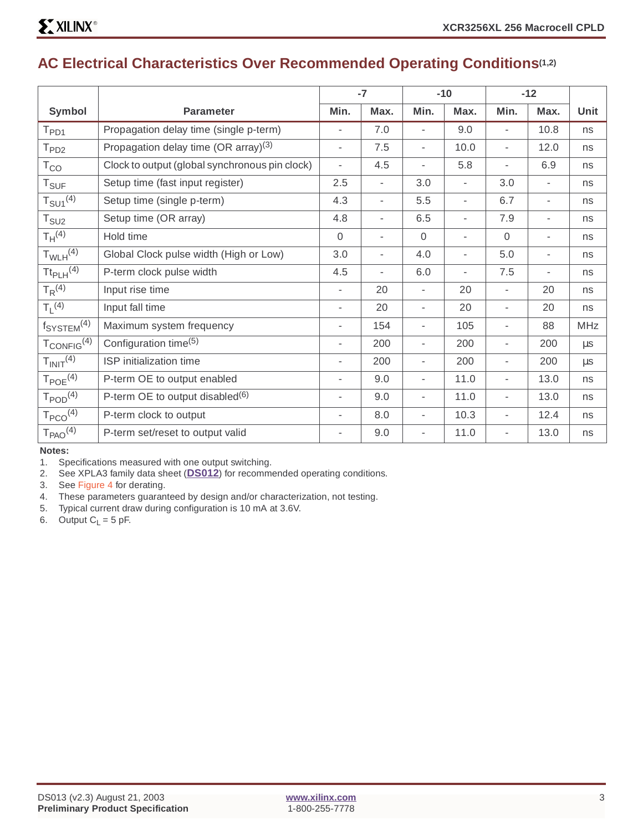# **AC Electrical Characteristics Over Recommended Operating Conditions(1,2)**

|                                    |                                                  |                          | $-7$                     |                          | $-10$                    | $-12$                    |                     |            |
|------------------------------------|--------------------------------------------------|--------------------------|--------------------------|--------------------------|--------------------------|--------------------------|---------------------|------------|
| Symbol                             | <b>Parameter</b>                                 | Min.                     | Max.                     | Min.                     | Max.                     | Min.                     | Max.                | Unit       |
| $T_{PD1}$                          | Propagation delay time (single p-term)           |                          | 7.0                      | $\overline{\phantom{a}}$ | 9.0                      | $\overline{\phantom{a}}$ | 10.8                | ns         |
| T <sub>PD2</sub>                   | Propagation delay time (OR array) <sup>(3)</sup> | ٠                        | 7.5                      | $\blacksquare$           | 10.0                     | ÷,                       | 12.0                | ns         |
| $T_{CO}$                           | Clock to output (global synchronous pin clock)   |                          | 4.5                      |                          | 5.8                      | $\blacksquare$           | 6.9                 | ns         |
| $T_{\text{SUF}}$                   | Setup time (fast input register)                 | 2.5                      | $\overline{\phantom{a}}$ | 3.0                      | $\overline{\phantom{a}}$ | 3.0                      | $\bar{\phantom{a}}$ | ns         |
| $T_{\text{SU1}}^{(4)}$             | Setup time (single p-term)                       | 4.3                      | ٠                        | 5.5                      | $\overline{\phantom{a}}$ | 6.7                      | ٠                   | ns         |
| $T_{\scriptstyle\text{SU2}}$       | Setup time (OR array)                            | 4.8                      | ٠                        | 6.5                      |                          | 7.9                      |                     | ns         |
| $T_H^{(4)}$                        | Hold time                                        | $\overline{0}$           | $\overline{\phantom{a}}$ | $\mathbf{0}$             | $\blacksquare$           | $\overline{0}$           | $\overline{a}$      | ns         |
| $T_{WLH}$ <sup>(4)</sup>           | Global Clock pulse width (High or Low)           | 3.0                      | ٠                        | 4.0                      | $\overline{\phantom{a}}$ | 5.0                      | $\overline{a}$      | ns         |
| $\text{It}_{\text{PLH}}^{(4)}$     | P-term clock pulse width                         | 4.5                      | ٠                        | 6.0                      | ٠                        | 7.5                      | ٠                   | ns         |
| $T_R^{(4)}$                        | Input rise time                                  |                          | 20                       | $\overline{\phantom{a}}$ | 20                       | ÷,                       | 20                  | ns         |
| $T_1$ (4)                          | Input fall time                                  | $\overline{\phantom{a}}$ | 20                       | $\overline{\phantom{a}}$ | 20                       | $\overline{\phantom{a}}$ | 20                  | ns         |
| f <sub>SYSTEM</sub> <sup>(4)</sup> | Maximum system frequency                         |                          | 154                      | $\overline{\phantom{a}}$ | 105                      | $\overline{a}$           | 88                  | <b>MHz</b> |
| $T_{CONFIG}$ <sup>(4)</sup>        | Configuration time <sup>(5)</sup>                |                          | 200                      | ٠                        | 200                      | $\overline{a}$           | 200                 | μs         |
| T <sub>INIT</sub> <sup>(4)</sup>   | ISP initialization time                          | ٠                        | 200                      | $\blacksquare$           | 200                      | $\overline{\phantom{a}}$ | 200                 | μs         |
| $T_{POE}$ <sup>(4)</sup>           | P-term OE to output enabled                      | $\overline{a}$           | 9.0                      | $\overline{\phantom{a}}$ | 11.0                     | $\overline{\phantom{a}}$ | 13.0                | ns         |
| $T_{\text{POD}}^{(4)}$             | P-term OE to output disabled $(6)$               |                          | 9.0                      |                          | 11.0                     | $\overline{a}$           | 13.0                | ns         |
| $T_{PCO}$ <sup>(4)</sup>           | P-term clock to output                           |                          | 8.0                      | $\blacksquare$           | 10.3                     | $\overline{\phantom{a}}$ | 12.4                | ns         |
| T <sub>PAO</sub> <sup>(4)</sup>    | P-term set/reset to output valid                 |                          | 9.0                      | $\overline{\phantom{a}}$ | 11.0                     | $\overline{\phantom{a}}$ | 13.0                | ns         |

**Notes:** 

2. See XPLA3 family data sheet (**[DS012](http://www.xilinx.com/bvdocs/publications/ds012.pdf)**) for recommended operating conditions.

3. See [Figure 4](#page-4-0) for derating.

- 4. These parameters guaranteed by design and/or characterization, not testing.
- 5. Typical current draw during configuration is 10 mA at 3.6V.

6. Output  $C_L = 5$  pF.

<sup>1.</sup> Specifications measured with one output switching.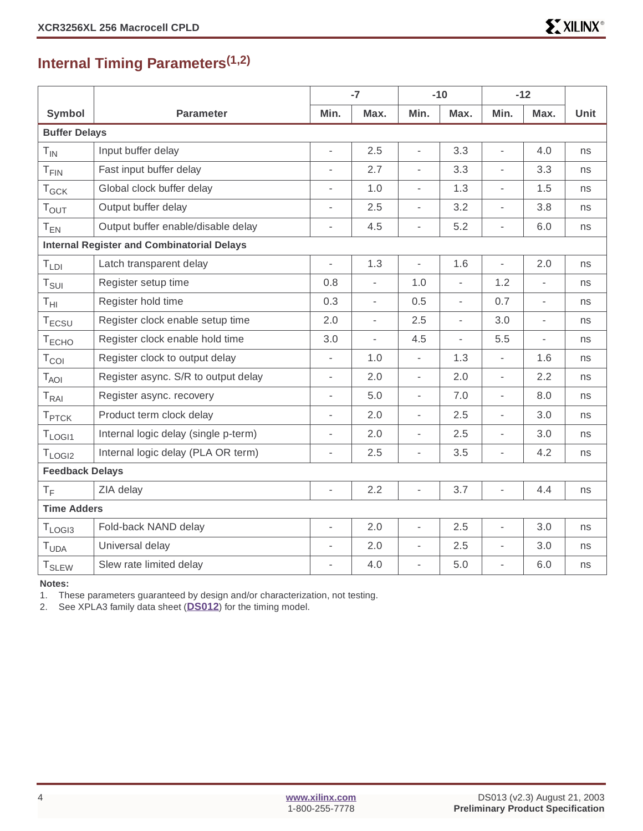# **Internal Timing Parameters(1,2)**

|                          |                                                   |                     | $-7$                     |                          | $-10$                    |                          | $-12$                    |             |
|--------------------------|---------------------------------------------------|---------------------|--------------------------|--------------------------|--------------------------|--------------------------|--------------------------|-------------|
| Symbol                   | <b>Parameter</b>                                  | Min.                | Max.                     | Min.                     | Max.                     | Min.                     | Max.                     | <b>Unit</b> |
| <b>Buffer Delays</b>     |                                                   |                     |                          |                          |                          |                          |                          |             |
| $T_{IN}$                 | Input buffer delay                                | ÷,                  | 2.5                      | L,                       | 3.3                      | L,                       | 4.0                      | ns          |
| $T_{\text{FIN}}$         | Fast input buffer delay                           |                     | 2.7                      | $\overline{\phantom{a}}$ | 3.3                      | L.                       | 3.3                      | ns          |
| $T_{GCK}$                | Global clock buffer delay                         | L,                  | 1.0                      | $\overline{\phantom{a}}$ | 1.3                      | $\overline{a}$           | 1.5                      | ns          |
| $T_{\text{OUT}}$         | Output buffer delay                               | L,                  | 2.5                      | $\overline{\phantom{a}}$ | 3.2                      | ÷,                       | 3.8                      | ns          |
| $T_{EN}$                 | Output buffer enable/disable delay                | L,                  | 4.5                      | $\overline{\phantom{a}}$ | 5.2                      | $\overline{a}$           | 6.0                      | ns          |
|                          | <b>Internal Register and Combinatorial Delays</b> |                     |                          |                          |                          |                          |                          |             |
| T <sub>LDI</sub>         | Latch transparent delay                           | L.                  | 1.3                      | $\overline{a}$           | 1.6                      | $\overline{a}$           | 2.0                      | ns          |
| T <sub>SUI</sub>         | Register setup time                               | 0.8                 | $\overline{\phantom{a}}$ | 1.0                      | L,                       | 1.2                      | ÷,                       | ns          |
| $T_{\text{HI}}$          | Register hold time                                | 0.3                 | $\overline{\phantom{a}}$ | 0.5                      | L,                       | 0.7                      | $\overline{\phantom{a}}$ | ns          |
| T <sub>ECSU</sub>        | Register clock enable setup time                  | 2.0                 | $\overline{\phantom{a}}$ | 2.5                      | $\overline{a}$           | 3.0                      | $\overline{\phantom{a}}$ | ns          |
| $T_{ECHO}$               | Register clock enable hold time                   | 3.0                 | $\sim$                   | 4.5                      | $\overline{\phantom{a}}$ | 5.5                      | $\overline{a}$           | ns          |
| $T_{COI}$                | Register clock to output delay                    | $\overline{a}$      | 1.0                      | $\overline{\phantom{a}}$ | 1.3                      | $\overline{a}$           | 1.6                      | ns          |
| $T_{AOI}$                | Register async. S/R to output delay               | $\overline{a}$      | 2.0                      | $\overline{\phantom{a}}$ | 2.0                      | $\overline{\phantom{0}}$ | 2.2                      | ns          |
| $T_{RAI}$                | Register async. recovery                          | L,                  | 5.0                      | $\overline{\phantom{a}}$ | 7.0                      | $\overline{a}$           | 8.0                      | ns          |
| <b>T</b> <sub>PTCK</sub> | Product term clock delay                          | $\bar{\phantom{a}}$ | 2.0                      | $\overline{\phantom{a}}$ | 2.5                      | ÷,                       | 3.0                      | ns          |
| $T_{LOGI1}$              | Internal logic delay (single p-term)              | L,                  | 2.0                      | $\overline{\phantom{a}}$ | 2.5                      | $\overline{a}$           | 3.0                      | ns          |
| $T_{LOGI2}$              | Internal logic delay (PLA OR term)                | ÷,                  | 2.5                      | $\overline{\phantom{a}}$ | 3.5                      | L,                       | 4.2                      | ns          |
| <b>Feedback Delays</b>   |                                                   |                     |                          |                          |                          |                          |                          |             |
| $T_F$                    | ZIA delay                                         | $\bar{\phantom{a}}$ | 2.2                      | $\overline{\phantom{a}}$ | 3.7                      | L,                       | 4.4                      | ns          |
| <b>Time Adders</b>       |                                                   |                     |                          |                          |                          |                          |                          |             |
| $T_{LOGI3}$              | Fold-back NAND delay                              | $\frac{1}{2}$       | 2.0                      | $\overline{\phantom{a}}$ | 2.5                      | L,                       | 3.0                      | ns          |
| T <sub>UDA</sub>         | Universal delay                                   | L,                  | 2.0                      | $\overline{\phantom{a}}$ | 2.5                      | $\overline{a}$           | 3.0                      | ns          |
| <b>T</b> <sub>SLEW</sub> | Slew rate limited delay                           | $\overline{a}$      | 4.0                      | $\overline{\phantom{a}}$ | 5.0                      | L,                       | 6.0                      | ns          |

**Notes:** 

1. These parameters guaranteed by design and/or characterization, not testing.

2. See XPLA3 family data sheet (**[DS012](http://www.xilinx.com/bvdocs/publications/ds012.pdf)**) for the timing model.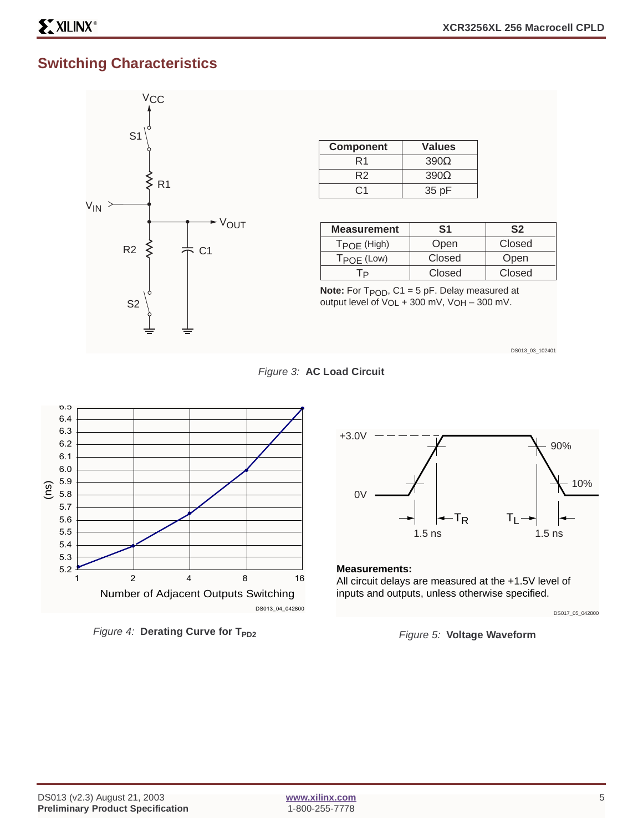# **Switching Characteristics**



| <b>Component</b> | <b>Values</b> |
|------------------|---------------|
| R1               | $390\Omega$   |
| R <sub>2</sub>   | $390\Omega$   |
| ( :1             | 35 pF         |

| <b>Measurement</b>     | S1     | S <sub>2</sub> |
|------------------------|--------|----------------|
| $T_{POE}$ (High)       | Open   | Closed         |
| $T_{\text{POF}}$ (Low) | Closed | Open           |
|                        | Closed | Closed         |

**Note:** For T<sub>POD</sub>, C1 = 5 pF. Delay measured at output level of  $V_{OL}$  + 300 mV,  $V_{OH}$  – 300 mV.

DS013\_03\_102401





<span id="page-4-0"></span>Figure 4: **Derating Curve for T<sub>PD2</sub>** 



#### **Measurements:**

All circuit delays are measured at the +1.5V level of inputs and outputs, unless otherwise specified.



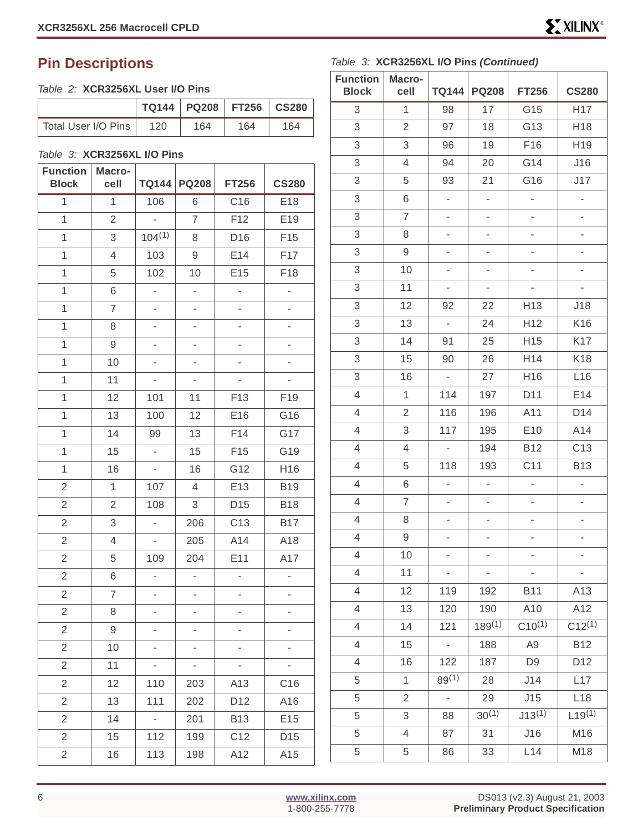#### <span id="page-5-0"></span>Table 2: **XCR3256XL User I/O Pins**

|                     |     | TQ144   PQ208   FT256   CS280 |     |     |
|---------------------|-----|-------------------------------|-----|-----|
| Total User I/O Pins | 120 | 164                           | 164 | 164 |

#### Table 3: **XCR3256XL I/O Pins**

| <b>Function</b><br><b>Block</b> | Macro-<br>cell |                          | TQ144 PQ208              | <b>FT256</b>             | <b>CS280</b>             |
|---------------------------------|----------------|--------------------------|--------------------------|--------------------------|--------------------------|
| $\overline{1}$                  | $\overline{1}$ | 106                      | 6                        | C16                      | E18                      |
| $\overline{1}$                  | $\overline{2}$ | $\overline{a}$           | $\overline{7}$           | F12                      | E19                      |
| $\mathbf 1$                     | 3              | $104^{(1)}$              | 8                        | D16                      | F15                      |
| 1                               | 4              | 103                      | 9                        | E14                      | F17                      |
| 1                               | 5              | 102                      | 10                       | E15                      | F18                      |
| $\overline{1}$                  | 6              | $\frac{1}{2}$            | $\overline{\phantom{0}}$ | $\overline{\phantom{0}}$ | $\overline{\phantom{0}}$ |
| $\overline{1}$                  | $\overline{7}$ | $\overline{a}$           | $\overline{a}$           |                          | $\overline{a}$           |
| 1                               | 8              | $\overline{\phantom{0}}$ | $\overline{\phantom{0}}$ | $\overline{\phantom{0}}$ | ÷,                       |
| $\mathbf{1}$                    | 9              | $\overline{\phantom{0}}$ | -                        | -                        | $\overline{\phantom{0}}$ |
| 1                               | 10             | $\overline{\phantom{0}}$ | $\overline{\phantom{0}}$ |                          | $\overline{\phantom{0}}$ |
| $\mathbf 1$                     | 11             | $\frac{1}{2}$            | $\overline{\phantom{0}}$ | $\overline{\phantom{a}}$ | $\overline{\phantom{a}}$ |
| 1                               | 12             | 101                      | 11                       | F13                      | F19                      |
| $\overline{1}$                  | 13             | 100                      | 12                       | E16                      | G16                      |
| 1                               | 14             | 99                       | 13                       | F14                      | G17                      |
| $\mathbf{1}$                    | 15             | $\blacksquare$           | 15                       | F15                      | G19                      |
| $\mathbf{1}$                    | 16             | $\frac{1}{2}$            | 16                       | G12                      | H16                      |
| $\mathbf{2}$                    | 1              | 107                      | 4                        | E13                      | <b>B19</b>               |
| $\overline{2}$                  | $\sqrt{2}$     | 108                      | 3                        | D <sub>15</sub>          | <b>B18</b>               |
| $\overline{2}$                  | 3              | $\overline{a}$           | 206                      | C <sub>13</sub>          | <b>B17</b>               |
| $\overline{2}$                  | $\overline{4}$ | $\overline{\phantom{0}}$ | 205                      | A14                      | A18                      |
| $\mathbf{2}$                    | 5              | 109                      | 204                      | E11                      | A17                      |
| $\overline{2}$                  | 6              | $\overline{\phantom{0}}$ | $\overline{\phantom{0}}$ | ÷,                       | $\overline{\phantom{0}}$ |
| $\mathbf{2}$                    | 7              | $\overline{\phantom{0}}$ | $\overline{\phantom{0}}$ | ÷,                       | $\overline{\phantom{0}}$ |
| $\mathbf{2}$                    | 8              | -                        | -                        |                          | -                        |
| $\overline{2}$                  | 9              | $\overline{\phantom{0}}$ | $\overline{\phantom{0}}$ | $\overline{\phantom{0}}$ | $\overline{\phantom{0}}$ |
| $\sqrt{2}$                      | 10             |                          |                          |                          |                          |
| $\overline{2}$                  | 11             | ۰                        |                          |                          | ۰                        |
| $\mathbf{2}$                    | 12             | 110                      | 203                      | A13                      | C16                      |
| $\overline{2}$                  | 13             | 111                      | 202                      | D <sub>12</sub>          | A16                      |
| $\overline{2}$                  | 14             | -                        | 201                      | <b>B13</b>               | E15                      |
| $\overline{2}$                  | 15             | 112                      | 199                      | C12                      | D15                      |
| $\mathbf{2}$                    | 16             | 113                      | 198                      | A12                      | A15                      |

#### Table 3: **XCR3256XL I/O Pins (Continued)**

| <b>Function</b><br><b>Block</b> | Macro-<br>cell | <b>TQ144</b>             | <b>PQ208</b>             | <b>FT256</b>             | <b>CS280</b>             |
|---------------------------------|----------------|--------------------------|--------------------------|--------------------------|--------------------------|
| 3                               | $\mathbf{1}$   | 98                       | 17                       | G15                      | H17                      |
| 3                               | $\overline{2}$ | 97                       | 18                       | G13                      | H18                      |
| 3                               | 3              | 96                       | 19                       | F16                      | H19                      |
| 3                               | 4              | 94                       | 20                       | G14                      | J16                      |
| 3                               | 5              | 93                       | 21                       | G16                      | J17                      |
| 3                               | 6              | L,                       | L,                       | L,                       | ÷                        |
| 3                               | $\overline{7}$ | $\overline{\phantom{0}}$ | $\overline{\phantom{0}}$ | ÷,                       | $\overline{\phantom{0}}$ |
| 3                               | 8              | $\overline{\phantom{0}}$ | $\frac{1}{2}$            | $\overline{a}$           | $\overline{\phantom{0}}$ |
| 3                               | 9              | -                        | ÷,                       | -                        | $\overline{a}$           |
| 3                               | 10             | $\overline{\phantom{0}}$ | $\overline{\phantom{0}}$ | $\overline{\phantom{0}}$ | ÷,                       |
| 3                               | 11             | $\overline{\phantom{0}}$ | $\overline{\phantom{0}}$ | $\overline{\phantom{0}}$ |                          |
| 3                               | 12             | 92                       | 22                       | H <sub>13</sub>          | J18                      |
| 3                               | 13             | $\overline{\phantom{a}}$ | 24                       | H12                      | K16                      |
| 3                               | 14             | 91                       | 25                       | H15                      | K17                      |
| 3                               | 15             | 90                       | 26                       | H14                      | K18                      |
| 3                               | 16             | $\overline{\phantom{a}}$ | 27                       | H16                      | L16                      |
| $\overline{4}$                  | 1              | 114                      | 197                      | D11                      | E14                      |
| $\overline{4}$                  | $\overline{2}$ | 116                      | 196                      | A11                      | D14                      |
| $\overline{4}$                  | 3              | 117                      | 195                      | E <sub>10</sub>          | A14                      |
| $\overline{4}$                  | 4              | ÷,                       | 194                      | <b>B12</b>               | C <sub>13</sub>          |
| $\overline{4}$                  | 5              | 118                      | 193                      | C11                      | <b>B13</b>               |
| $\overline{4}$                  | 6              | ÷,                       | $\frac{1}{2}$            | ÷,                       | $\blacksquare$           |
| $\overline{4}$                  | 7              |                          | 4                        | ÷,                       | ÷,                       |
| $\overline{4}$                  | 8              |                          | $\overline{\phantom{0}}$ | -                        |                          |
| 4                               | 9              |                          |                          |                          |                          |
| $\overline{4}$                  | 10             | $\overline{\phantom{0}}$ | $\overline{\phantom{0}}$ | ÷,                       | ÷                        |
| 4                               | 11             |                          | $\overline{\phantom{0}}$ |                          |                          |
| $\overline{4}$                  | 12             | 119                      | 192                      | <b>B11</b>               | A13                      |
| $\overline{4}$                  | 13             | 120                      | 190                      | A10                      | A12                      |
| $\overline{4}$                  | 14             | 121                      | $189^{(1)}$              | $C10^{(1)}$              | $C12^{(1)}$              |
| $\overline{4}$                  | 15             |                          | 188                      | A <sub>9</sub>           | <b>B12</b>               |
| $\overline{4}$                  | 16             | 122                      | 187                      | D <sub>9</sub>           | D12                      |
| 5                               | 1              | $89^{(1)}$               | 28                       | J14                      | L17                      |
| 5                               | 2              | $\overline{\phantom{0}}$ | 29                       | J15                      | L18                      |
| 5                               | 3              | 88                       | $30^{(1)}$               | $J13^{(1)}$              | $L19^{(1)}$              |
| 5                               | 4              | 87                       | 31                       | J16                      | M16                      |
| 5                               | 5              | 86                       | 33                       | L14                      | M18                      |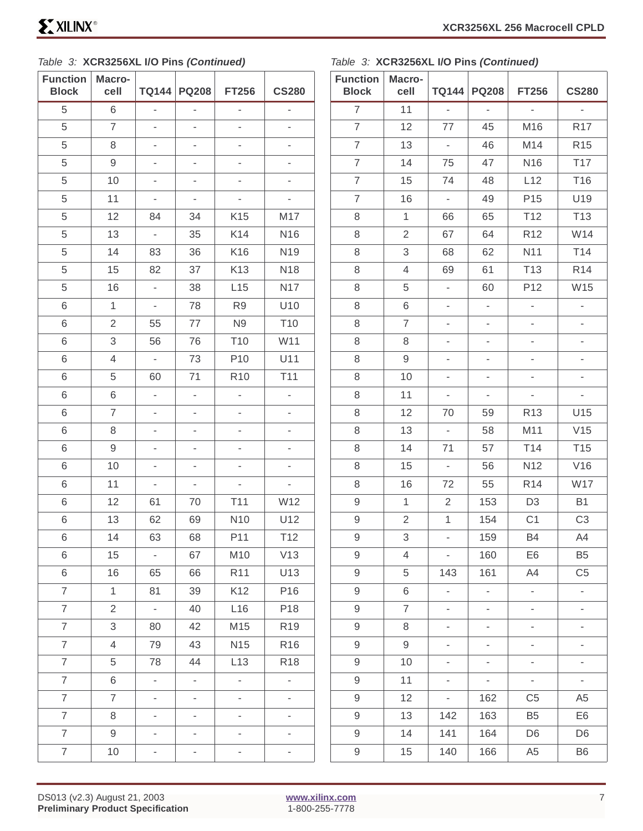#### Table 3: **XCR3256XL I/O Pins (Continued)**

Table 3: **XCR3256XL I/O Pins (Continued)**

| <b>Function</b><br><b>Block</b> | Macro-<br>cell |                          | TQ144 PQ208              | <b>FT256</b>             | <b>CS280</b>             |
|---------------------------------|----------------|--------------------------|--------------------------|--------------------------|--------------------------|
| 5                               | 6              | $\overline{a}$           | ÷,                       | $\overline{\phantom{0}}$ | $\frac{1}{2}$            |
| 5                               | $\overline{7}$ | $\overline{a}$           | $\overline{a}$           | -                        |                          |
| 5                               | 8              | -                        | -                        | -                        |                          |
| 5                               | 9              | 4                        | $\overline{\phantom{0}}$ | -                        |                          |
| 5                               | 10             | $\overline{\phantom{a}}$ | $\overline{\phantom{0}}$ | 4                        | $\overline{\phantom{0}}$ |
| 5                               | 11             | 4                        | $\overline{\phantom{0}}$ | $\overline{\phantom{0}}$ | $\overline{\phantom{0}}$ |
| 5                               | 12             | 84                       | 34                       | K15                      | M17                      |
| 5                               | 13             | $\overline{\phantom{a}}$ | 35                       | K14                      | N <sub>16</sub>          |
| 5                               | 14             | 83                       | 36                       | K16                      | N19                      |
| 5                               | 15             | 82                       | 37                       | K13                      | N <sub>18</sub>          |
| 5                               | 16             | $\overline{\phantom{a}}$ | 38                       | L15                      | <b>N17</b>               |
| 6                               | 1              | $\overline{\phantom{0}}$ | 78                       | R <sub>9</sub>           | U10                      |
| 6                               | $\overline{2}$ | 55                       | 77                       | N <sub>9</sub>           | T10                      |
| 6                               | 3              | 56                       | 76                       | T10                      | W11                      |
| 6                               | $\overline{4}$ | ÷                        | 73                       | P10                      | U11                      |
| 6                               | 5              | 60                       | 71                       | R <sub>10</sub>          | T11                      |
| 6                               | 6              | $\overline{\phantom{a}}$ | $\overline{\phantom{a}}$ | $\overline{\phantom{a}}$ | $\overline{a}$           |
| 6                               | $\overline{7}$ | 4                        | ÷,                       | -                        | $\overline{\phantom{0}}$ |
| 6                               | 8              | $\overline{\phantom{0}}$ | -                        | ÷                        | $\overline{\phantom{0}}$ |
| 6                               | 9              | -                        | ÷,                       | $\overline{\phantom{0}}$ | ÷,                       |
| 6                               | 10             | -                        | -                        |                          |                          |
| 6                               | 11             | $\overline{\phantom{0}}$ | $\blacksquare$           | $\overline{\phantom{0}}$ | $\overline{\phantom{a}}$ |
| 6                               | 12             | 61                       | 70                       | T11                      | W12                      |
| 6                               | 13             | 62                       | 69                       | N <sub>10</sub>          | U12                      |
| 6                               | 14             | 63                       | 68                       | P11                      | T12                      |
| 6                               | 15             | $\blacksquare$           | 67                       | M10                      | V13                      |
| 6                               | 16             | 65                       | 66                       | R <sub>11</sub>          | U13                      |
| $\overline{7}$                  | $\mathbf{1}$   | 81                       | 39                       | K12                      | P16                      |
| $\overline{7}$                  | $\overline{2}$ | ÷,                       | 40                       | L16                      | P18                      |
| $\overline{7}$                  | 3              | 80                       | 42                       | M15                      | R <sub>19</sub>          |
| $\overline{7}$                  | 4              | 79                       | 43                       | N <sub>15</sub>          | R <sub>16</sub>          |
| $\overline{7}$                  | 5              | 78                       | 44                       | L13                      | R <sub>18</sub>          |
| $\overline{7}$                  | 6              | $\overline{\phantom{a}}$ | $\overline{\phantom{a}}$ | ä,                       | $\overline{\phantom{a}}$ |
| $\overline{7}$                  | 7              | $\overline{\phantom{0}}$ | ÷.                       | $\overline{\phantom{0}}$ | $\overline{\phantom{0}}$ |
| $\overline{7}$                  | 8              | $\overline{\phantom{0}}$ | $\overline{\phantom{0}}$ | 4                        | $\overline{\phantom{0}}$ |
| $\overline{7}$                  | 9              | -                        | ÷                        | -                        |                          |
| $\overline{7}$                  | 10             | $\overline{\phantom{0}}$ | -                        | -                        | $\overline{\phantom{0}}$ |

| <b>Function</b><br><b>Block</b> | Macro-<br>cell | <b>TQ144</b>             | <b>PQ208</b>             | <b>FT256</b>             | <b>CS280</b>             |
|---------------------------------|----------------|--------------------------|--------------------------|--------------------------|--------------------------|
| $\overline{7}$                  | 11             | $\overline{a}$           | $\overline{a}$           | $\overline{a}$           | $\frac{1}{2}$            |
| $\overline{7}$                  | 12             | 77                       | 45                       | M16                      | R <sub>17</sub>          |
| $\overline{7}$                  | 13             | $\overline{\phantom{0}}$ | 46                       | M14                      | R <sub>15</sub>          |
| $\overline{7}$                  | 14             | 75                       | 47                       | N16                      | T17                      |
| $\overline{7}$                  | 15             | 74                       | 48                       | L12                      | T16                      |
| $\overline{7}$                  | 16             | $\frac{1}{2}$            | 49                       | P <sub>15</sub>          | U19                      |
| 8                               | $\mathbf{1}$   | 66                       | 65                       | T <sub>12</sub>          | T <sub>13</sub>          |
| 8                               | $\overline{2}$ | 67                       | 64                       | R <sub>12</sub>          | W14                      |
| 8                               | 3              | 68                       | 62                       | N11                      | T14                      |
| 8                               | $\overline{4}$ | 69                       | 61                       | T <sub>13</sub>          | R <sub>14</sub>          |
| 8                               | 5              | ä,                       | 60                       | P12                      | W15                      |
| 8                               | 6              | $\overline{\phantom{0}}$ | $\overline{a}$           | L,                       | $\overline{a}$           |
| 8                               | $\overline{7}$ | -                        | $\overline{a}$           | $\overline{\phantom{0}}$ | ÷,                       |
| 8                               | 8              | $\overline{\phantom{0}}$ | $\overline{\phantom{0}}$ | ÷                        | $\overline{\phantom{0}}$ |
| 8                               | 9              | -                        | $\overline{\phantom{0}}$ | -                        | $\overline{\phantom{0}}$ |
| 8                               | 10             | $\overline{\phantom{0}}$ | $\overline{\phantom{0}}$ | $\overline{\phantom{0}}$ | $\overline{\phantom{0}}$ |
| 8                               | 11             | ÷,                       | $\overline{\phantom{0}}$ | ÷,                       | ÷,                       |
| 8                               | 12             | 70                       | 59                       | R <sub>13</sub>          | U15                      |
| 8                               | 13             | $\blacksquare$           | 58                       | M11                      | V15                      |
| 8                               | 14             | 71                       | 57                       | T14                      | T <sub>15</sub>          |
| 8                               | 15             | ÷,                       | 56                       | N12                      | V16                      |
| 8                               | 16             | 72                       | 55                       | R <sub>14</sub>          | W17                      |
| 9                               | $\mathbf{1}$   | $\overline{2}$           | 153                      | D <sub>3</sub>           | <b>B1</b>                |
| $\hbox{9}$                      | $\overline{2}$ | 1                        | 154                      | C <sub>1</sub>           | C <sub>3</sub>           |
| 9                               | 3              |                          | 159                      | <b>B4</b>                | A4                       |
| 9                               | 4              | $\overline{\phantom{0}}$ | 160                      | E <sub>6</sub>           | B <sub>5</sub>           |
| 9                               | 5              | 143                      | 161                      | A4                       | C <sub>5</sub>           |
| 9                               | 6              | $\frac{1}{2}$            | ä,                       | ÷,                       | ÷,                       |
| 9                               | $\overline{7}$ |                          | $\overline{\phantom{0}}$ | $\overline{\phantom{0}}$ | 4                        |
| 9                               | 8              |                          | $\overline{a}$           | L,                       | $\overline{\phantom{0}}$ |
| $\hbox{9}$                      | 9              | -                        | $\overline{\phantom{0}}$ | $\overline{\phantom{0}}$ | $\overline{\phantom{0}}$ |
| 9                               | 10             |                          | $\overline{\phantom{0}}$ | ÷                        | $\overline{\phantom{0}}$ |
| $\hbox{9}$                      | 11             | $\overline{a}$           | $\overline{\phantom{a}}$ | $\overline{a}$           | $\overline{\phantom{a}}$ |
| 9                               | 12             | $\overline{\phantom{0}}$ | 162                      | C <sub>5</sub>           | A <sub>5</sub>           |
| 9                               | 13             | 142                      | 163                      | B <sub>5</sub>           | E <sub>6</sub>           |
| 9                               | 14             | 141                      | 164                      | D <sub>6</sub>           | D <sub>6</sub>           |
| 9                               | 15             | 140                      | 166                      | A <sub>5</sub>           | <b>B6</b>                |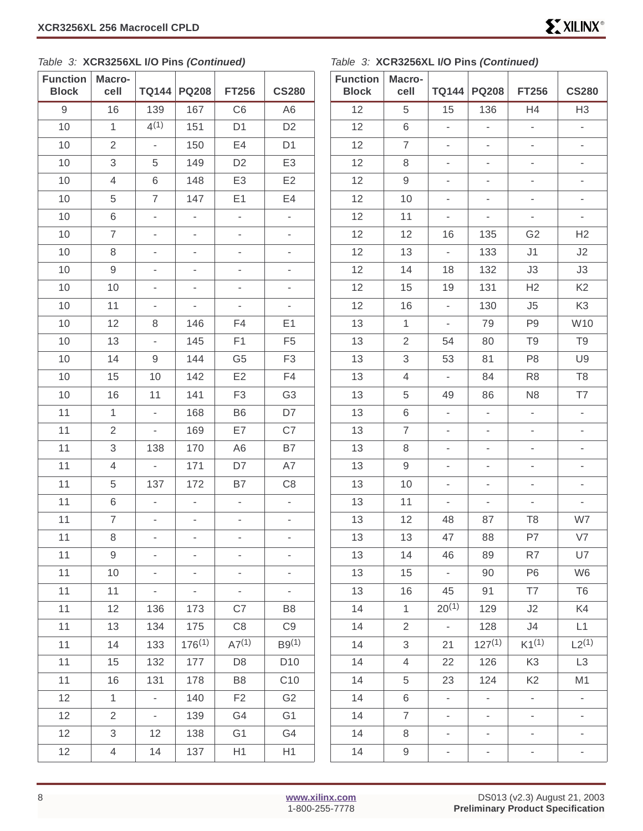| able 3: XCR3256XL I/O Pins (Continued) |                |                          |                              |                              |                          | Table 3: Y                      |
|----------------------------------------|----------------|--------------------------|------------------------------|------------------------------|--------------------------|---------------------------------|
| <b>Function</b><br><b>Block</b>        | Macro-<br>cell | <b>TQ144</b>             | <b>PQ208</b>                 | <b>FT256</b>                 | <b>CS280</b>             | <b>Function</b><br><b>Block</b> |
| $\hbox{9}$                             | 16             | 139                      | 167                          | C <sub>6</sub>               | A <sub>6</sub>           | 12                              |
| 10                                     | 1              | 4(1)                     | 151                          | D <sub>1</sub>               | D <sub>2</sub>           | 12                              |
| 10                                     | $\overline{2}$ | $\overline{\phantom{a}}$ | 150                          | E4                           | D <sub>1</sub>           | 12                              |
| 10                                     | 3              | 5                        | 149                          | D <sub>2</sub>               | E <sub>3</sub>           | 12                              |
| 10                                     | $\overline{4}$ | 6                        | 148                          | E <sub>3</sub>               | E <sub>2</sub>           | 12                              |
| 10                                     | 5              | $\overline{7}$           | 147                          | E <sub>1</sub>               | E <sub>4</sub>           | 12                              |
| 10                                     | 6              | $\overline{\phantom{a}}$ | L,                           | L,                           | $\overline{\phantom{0}}$ | 12                              |
| 10                                     | $\overline{7}$ | $\overline{\phantom{0}}$ | $\overline{\phantom{0}}$     | $\overline{\phantom{0}}$     | $\overline{\phantom{0}}$ | 12                              |
| 10                                     | 8              | $\overline{\phantom{0}}$ | $\overline{\phantom{0}}$     | $\overline{\phantom{0}}$     | $\overline{\phantom{0}}$ | 12                              |
| 10                                     | $\hbox{9}$     | 4                        | ÷,                           | $\overline{\phantom{0}}$     | $\overline{\phantom{0}}$ | 12                              |
| 10                                     | 10             | $\overline{\phantom{0}}$ | ä,                           | ä,                           | ÷,                       | 12                              |
| 10                                     | 11             | -                        |                              |                              |                          | 12                              |
| 10                                     | 12             | 8                        | 146                          | F4                           | E1                       | 13                              |
| 10                                     | 13             | L,                       | 145                          | F <sub>1</sub>               | F <sub>5</sub>           | 13                              |
| 10                                     | 14             | 9                        | 144                          | G <sub>5</sub>               | F <sub>3</sub>           | 13                              |
| 10                                     | 15             | 10                       | 142                          | E2                           | F4                       | 13                              |
| 10                                     | 16             | 11                       | 141                          | F <sub>3</sub>               | G <sub>3</sub>           | 13                              |
| 11                                     | $\mathbf{1}$   | $\overline{a}$           | 168                          | B <sub>6</sub>               | D7                       | 13                              |
| 11                                     | $\overline{2}$ | $\overline{\phantom{0}}$ | 169                          | E7                           | C7                       | 13                              |
| 11                                     | 3              | 138                      | 170                          | A <sub>6</sub>               | B7                       | 13                              |
| 11                                     | 4              | $\frac{1}{2}$            | 171                          | D7                           | A7                       | 13                              |
| 11                                     | 5              | 137                      | 172                          | B7                           | C <sub>8</sub>           | 13                              |
| 11                                     | 6              | $\overline{\phantom{0}}$ | $\qquad \qquad \blacksquare$ | $\qquad \qquad \blacksquare$ | $\overline{\phantom{0}}$ | 13                              |
| 11                                     | $\overline{7}$ |                          |                              |                              |                          | 13                              |
| 11                                     | 8              | $\overline{a}$           |                              |                              |                          | 13                              |
| 11                                     | 9              |                          |                              |                              |                          | 13                              |
| 11                                     | 10             | $\overline{\phantom{0}}$ | $\overline{\phantom{0}}$     | $\overline{\phantom{0}}$     | $\overline{\phantom{0}}$ | 13                              |
| 11                                     | 11             | $\overline{\phantom{a}}$ | $\overline{\phantom{0}}$     | -                            | -                        | 13                              |
| 11                                     | 12             | 136                      | 173                          | C7                           | B <sub>8</sub>           | 14                              |
| 11                                     | 13             | 134                      | 175                          | C <sub>8</sub>               | C <sub>9</sub>           | 14                              |
| 11                                     | 14             | 133                      | $176^{(1)}$                  | $A7^{(1)}$                   | B9 <sup>(1)</sup>        | 14                              |
|                                        |                |                          |                              |                              |                          |                                 |

11 | 15 | 132 | 177 | D8 | D10 11 | 16 | 131 | 178 | B8 | C10 12 | 1 | - | 140 | F2 | G2 12 | 2 | - | 139 | G4 | G1 12 | 3 | 12 | 138 | G1 | G4 12 | 4 | 14 | 137 | H1 | H1

#### Table 3: **XCR3256XL I/O Pins (Continued)**

| <b>Function</b><br><b>Block</b> | Macro-<br>cell           | <b>TQ144</b>             | <b>PQ208</b>             | <b>FT256</b>             | <b>CS280</b>                 |  |
|---------------------------------|--------------------------|--------------------------|--------------------------|--------------------------|------------------------------|--|
| 12                              | 5                        | 15                       | 136                      | H4                       | H <sub>3</sub>               |  |
| 12                              | 6                        | $\overline{a}$           | $\overline{a}$           | $\overline{a}$           | $\overline{a}$               |  |
| 12                              | $\overline{7}$           | $\overline{\phantom{0}}$ | -                        | $\overline{a}$           | $\overline{\phantom{0}}$     |  |
| 12                              | 8                        | $\overline{a}$           | -                        | $\overline{\phantom{0}}$ | $\overline{\phantom{0}}$     |  |
| 12                              | 9                        | $\overline{\phantom{0}}$ | $\overline{a}$           | $\overline{a}$           | $\overline{\phantom{0}}$     |  |
| 12                              | 10                       | $\overline{\phantom{0}}$ | $\overline{a}$           | -                        | $\overline{\phantom{0}}$     |  |
| 12                              | 11                       | -                        | $\overline{\phantom{0}}$ | $\overline{\phantom{0}}$ | $\overline{\phantom{0}}$     |  |
| 12                              | 12                       | 16                       | 135                      | G <sub>2</sub>           | H <sub>2</sub>               |  |
| 12                              | 13                       | $\blacksquare$           | 133                      | J1                       | J2                           |  |
| 12                              | 14                       | 18                       | 132                      | J3                       | J3                           |  |
| 12                              | 15                       | 19                       | 131                      | H2                       | K <sub>2</sub>               |  |
| 12                              | 16                       | $\overline{\phantom{a}}$ | 130                      | J5                       | K <sub>3</sub>               |  |
| 13                              | $\overline{1}$           | -                        | 79                       | P <sub>9</sub>           | W10                          |  |
| 13                              | $\overline{2}$           | 54                       | 80                       | T <sub>9</sub>           | T <sub>9</sub>               |  |
| 13                              | 3                        | 53                       | 81                       | P <sub>8</sub>           | U9                           |  |
| 13                              | $\overline{\mathcal{L}}$ | $\blacksquare$           | 84                       | R <sub>8</sub>           | T <sub>8</sub>               |  |
| 13                              | 5                        | 49                       | 86                       | N <sub>8</sub>           | T7                           |  |
| 13                              | 6                        | $\overline{a}$           | $\overline{a}$           | L                        | $\overline{a}$               |  |
| 13                              | $\overline{7}$           | $\overline{\phantom{0}}$ | -                        | ÷                        | $\overline{\phantom{m}}$     |  |
| 13                              | 8                        | $\overline{\phantom{0}}$ | $\overline{a}$           | ÷,                       | $\overline{\phantom{m}}$     |  |
| 13                              | 9                        | $\overline{\phantom{0}}$ | $\overline{\phantom{a}}$ | $\overline{\phantom{0}}$ | $\qquad \qquad \blacksquare$ |  |
| 13                              | 10                       | $\overline{\phantom{0}}$ | -                        | ÷                        | $\overline{\phantom{0}}$     |  |
| 13                              | 11                       | $\overline{\phantom{0}}$ | $\overline{a}$           | -                        | L,                           |  |
| 13                              | 12                       | 48                       | 87                       | T <sub>8</sub>           | W7                           |  |
| 13                              | 13                       | 47                       | 88                       | P7                       | V7                           |  |
| 13                              | 14                       | 46                       | 89                       | R7                       | U7                           |  |
| 13                              | 15                       | $\overline{\phantom{a}}$ | 90                       | P <sub>6</sub>           | W <sub>6</sub>               |  |
| 13                              | 16                       | 45                       | 91                       | T7                       | T <sub>6</sub>               |  |
| 14                              | $\mathbf{1}$             | $20^{(1)}$               | 129                      | J2                       | K4                           |  |
| 14                              | $\overline{2}$           | L,                       | 128                      | J4                       | L1                           |  |
| 14                              | 3                        | 21                       | $127^{(1)}$              | $K1^{(1)}$               | $L2^{(1)}$                   |  |
| 14                              | 4                        | 22                       | 126                      | K <sub>3</sub>           | L <sub>3</sub>               |  |
| 14                              | 5                        | 23                       | 124                      | K <sub>2</sub>           | M <sub>1</sub>               |  |
| 14                              | 6                        | $\overline{\phantom{0}}$ | ۰.                       | $\blacksquare$           | -                            |  |
| 14                              | $\overline{7}$           | $\overline{a}$           | $\overline{\phantom{0}}$ | $\overline{a}$           | $\overline{a}$               |  |
| 14                              | 8                        | $\overline{\phantom{0}}$ | $\overline{\phantom{0}}$ | ÷,                       | $\overline{\phantom{0}}$     |  |
| 14                              | 9                        | ۳                        | ÷,                       | f                        | ÷                            |  |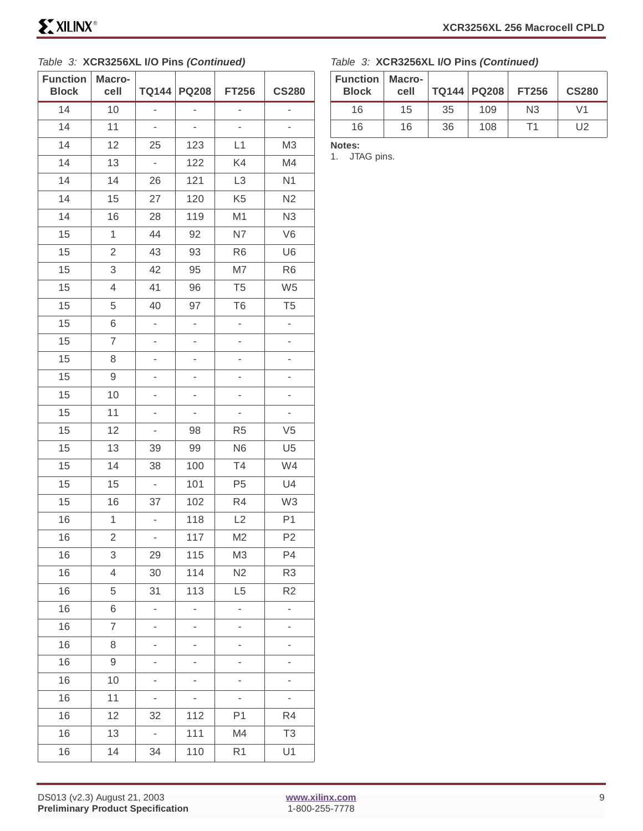#### Table 3: **XCR3256XL I/O Pins (Continued)**

| <b>Function</b><br><b>Block</b> | Macro-<br>cell | <b>TQ144</b>             | <b>PQ208</b>             | <b>FT256</b>             | <b>CS280</b>             |
|---------------------------------|----------------|--------------------------|--------------------------|--------------------------|--------------------------|
| 14                              | 10             | $\overline{\phantom{0}}$ | $\overline{\phantom{0}}$ | $\overline{\phantom{m}}$ | $\overline{\phantom{0}}$ |
| 14                              | 11             | $\overline{\phantom{0}}$ | ÷,                       |                          |                          |
| 14                              | 12             | 25                       | 123                      | L1                       | M <sub>3</sub>           |
| 14                              | 13             | $\overline{\phantom{a}}$ | 122                      | K4                       | M4                       |
| 14                              | 14             | 26                       | 121                      | L <sub>3</sub>           | N <sub>1</sub>           |
| 14                              | 15             | 27                       | 120                      | K <sub>5</sub>           | N2                       |
| 14                              | 16             | 28                       | 119                      | M1                       | N <sub>3</sub>           |
| 15                              | 1              | 44                       | 92                       | N7                       | V <sub>6</sub>           |
| 15                              | $\sqrt{2}$     | 43                       | 93                       | R <sub>6</sub>           | U <sub>6</sub>           |
| 15                              | 3              | 42                       | 95                       | M7                       | R <sub>6</sub>           |
| 15                              | 4              | 41                       | 96                       | T <sub>5</sub>           | W <sub>5</sub>           |
| 15                              | 5              | 40                       | 97                       | T <sub>6</sub>           | T <sub>5</sub>           |
| 15                              | 6              | $\overline{\phantom{0}}$ | ÷,                       | ÷,                       | ÷                        |
| 15                              | 7              | $\overline{\phantom{0}}$ | ÷,                       | ÷,                       | ÷,                       |
| 15                              | 8              | $\overline{\phantom{0}}$ | $\overline{\phantom{0}}$ | $\overline{\phantom{0}}$ | $\overline{\phantom{0}}$ |
| 15                              | 9              | -                        | ÷                        | -                        | -                        |
| 15                              | 10             | $\overline{\phantom{0}}$ | $\overline{\phantom{0}}$ | $\overline{\phantom{0}}$ | $\overline{\phantom{0}}$ |
| 15                              | 11             | $\overline{\phantom{0}}$ | $\overline{\phantom{0}}$ | $\overline{\phantom{0}}$ | $\overline{\phantom{0}}$ |
| 15                              | 12             | $\overline{\phantom{a}}$ | 98                       | R <sub>5</sub>           | V <sub>5</sub>           |
| 15                              | 13             | 39                       | 99                       | N <sub>6</sub>           | U <sub>5</sub>           |
| 15                              | 14             | 38                       | 100                      | T <sub>4</sub>           | W4                       |
| 15                              | 15             | $\blacksquare$           | 101                      | P <sub>5</sub>           | U4                       |
| 15                              | 16             | 37                       | 102                      | R4                       | W <sub>3</sub>           |
| 16                              | $\mathbf 1$    | $\overline{\phantom{a}}$ | 118                      | L2                       | P <sub>1</sub>           |
| 16                              | $\overline{2}$ | -                        | 117                      | M <sub>2</sub>           | P <sub>2</sub>           |
| 16                              | 3              | 29                       | 115                      | M <sub>3</sub>           | P4                       |
| 16                              | 4              | 30                       | 114                      | N2                       | R <sub>3</sub>           |
| 16                              | 5              | 31                       | 113                      | L <sub>5</sub>           | R <sub>2</sub>           |
| 16                              | 6              | $\overline{\phantom{a}}$ | L.                       | ä,                       | ÷,                       |
| 16                              | $\overline{7}$ | $\overline{\phantom{0}}$ | ÷,                       | $\overline{a}$           | $\overline{\phantom{0}}$ |
| 16                              | 8              | $\overline{\phantom{0}}$ | $\overline{\phantom{0}}$ | $\overline{\phantom{0}}$ | -                        |
| 16                              | 9              |                          | ÷,                       |                          |                          |
| 16                              | 10             | -                        | ÷,                       | $\overline{\phantom{0}}$ | ÷,                       |
| 16                              | 11             | $\overline{\phantom{0}}$ | -                        | $\overline{\phantom{0}}$ |                          |
| 16                              | 12             | 32                       | 112                      | P <sub>1</sub>           | R4                       |
| 16                              | 13             | $\overline{\phantom{a}}$ | 111                      | M4                       | T <sub>3</sub>           |
| 16                              | 14             | 34                       | 110                      | R <sub>1</sub>           | U1                       |

#### Table 3: **XCR3256XL I/O Pins (Continued)**

| <b>Function</b><br><b>Block</b> | Macro-<br>cell |    | TQ144   PQ208 | <b>FT256</b>   | <b>CS280</b> |
|---------------------------------|----------------|----|---------------|----------------|--------------|
| 16                              | 15             | 35 | 109           | N <sub>3</sub> | V1           |
| 16                              | 16             | 36 | 108           | Т1             | U2           |

**Notes:** 

1. JTAG pins.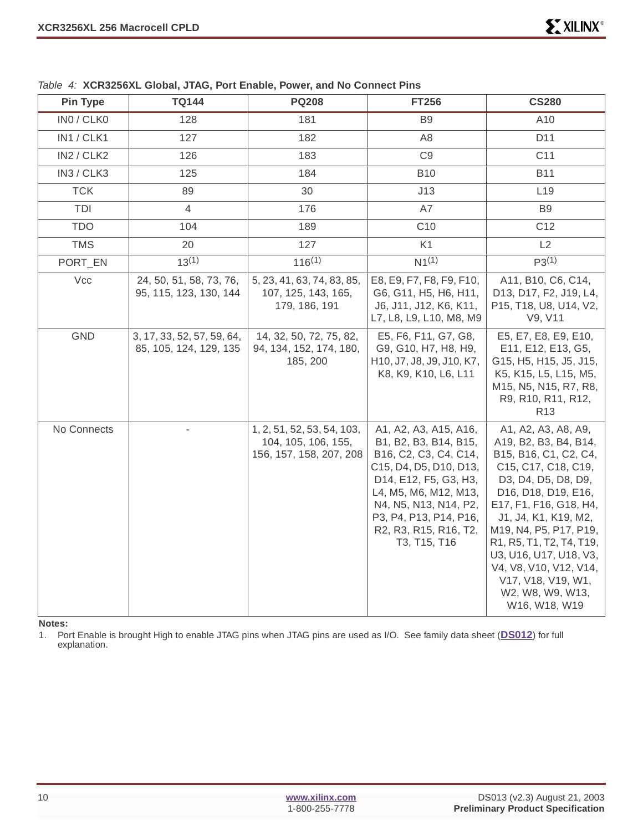| <b>Pin Type</b> | TQ144                                                | <b>PQ208</b>                                                                 | <b>FT256</b>                                                                                                                                                                                                                                    | <b>CS280</b>                                                                                                                                                                                                                                                                                                                                                      |
|-----------------|------------------------------------------------------|------------------------------------------------------------------------------|-------------------------------------------------------------------------------------------------------------------------------------------------------------------------------------------------------------------------------------------------|-------------------------------------------------------------------------------------------------------------------------------------------------------------------------------------------------------------------------------------------------------------------------------------------------------------------------------------------------------------------|
| INO / CLKO      | 128                                                  | 181                                                                          | B <sub>9</sub>                                                                                                                                                                                                                                  | A10                                                                                                                                                                                                                                                                                                                                                               |
| IN1 / CLK1      | 127                                                  | 182                                                                          | A <sub>8</sub>                                                                                                                                                                                                                                  | D11                                                                                                                                                                                                                                                                                                                                                               |
| IN2 / CLK2      | 126                                                  | 183                                                                          | C <sub>9</sub>                                                                                                                                                                                                                                  | C <sub>11</sub>                                                                                                                                                                                                                                                                                                                                                   |
| IN3 / CLK3      | 125                                                  | 184                                                                          | <b>B10</b>                                                                                                                                                                                                                                      | <b>B11</b>                                                                                                                                                                                                                                                                                                                                                        |
| <b>TCK</b>      | 89                                                   | 30                                                                           | J13                                                                                                                                                                                                                                             | L19                                                                                                                                                                                                                                                                                                                                                               |
| TDI             | 4                                                    | 176                                                                          | A7                                                                                                                                                                                                                                              | B <sub>9</sub>                                                                                                                                                                                                                                                                                                                                                    |
| <b>TDO</b>      | 104                                                  | 189                                                                          | C <sub>10</sub>                                                                                                                                                                                                                                 | C12                                                                                                                                                                                                                                                                                                                                                               |
| <b>TMS</b>      | 20                                                   | 127                                                                          | K <sub>1</sub>                                                                                                                                                                                                                                  | L2                                                                                                                                                                                                                                                                                                                                                                |
| PORT_EN         | $13^{(1)}$                                           | $116^{(1)}$                                                                  | $N1^{(1)}$                                                                                                                                                                                                                                      | $P3^{(1)}$                                                                                                                                                                                                                                                                                                                                                        |
| Vcc             | 24, 50, 51, 58, 73, 76,<br>95, 115, 123, 130, 144    | 5, 23, 41, 63, 74, 83, 85,<br>107, 125, 143, 165,<br>179, 186, 191           | E8, E9, F7, F8, F9, F10,<br>G6, G11, H5, H6, H11,<br>J6, J11, J12, K6, K11,<br>L7, L8, L9, L10, M8, M9                                                                                                                                          | A11, B10, C6, C14,<br>D13, D17, F2, J19, L4,<br>P15, T18, U8, U14, V2,<br>V9, V11                                                                                                                                                                                                                                                                                 |
| GND             | 3, 17, 33, 52, 57, 59, 64,<br>85, 105, 124, 129, 135 | 14, 32, 50, 72, 75, 82,<br>94, 134, 152, 174, 180,<br>185, 200               | E5, F6, F11, G7, G8,<br>G9, G10, H7, H8, H9,<br>H10, J7, J8, J9, J10, K7,<br>K8, K9, K10, L6, L11                                                                                                                                               | E5, E7, E8, E9, E10,<br>E11, E12, E13, G5,<br>G15, H5, H15, J5, J15,<br>K5, K15, L5, L15, M5,<br>M15, N5, N15, R7, R8,<br>R9, R10, R11, R12,<br>R <sub>13</sub>                                                                                                                                                                                                   |
| No Connects     |                                                      | 1, 2, 51, 52, 53, 54, 103,<br>104, 105, 106, 155,<br>156, 157, 158, 207, 208 | A1, A2, A3, A15, A16,<br>B1, B2, B3, B14, B15,<br>B16, C2, C3, C4, C14,<br>C15, D4, D5, D10, D13,<br>D14, E12, F5, G3, H3,<br>L4, M5, M6, M12, M13,<br>N4, N5, N13, N14, P2,<br>P3, P4, P13, P14, P16,<br>R2, R3, R15, R16, T2,<br>T3, T15, T16 | A1, A2, A3, A8, A9,<br>A19, B2, B3, B4, B14,<br>B15, B16, C1, C2, C4,<br>C15, C17, C18, C19,<br>D3, D4, D5, D8, D9,<br>D16, D18, D19, E16,<br>E17, F1, F16, G18, H4,<br>J1, J4, K1, K19, M2,<br>M19, N4, P5, P17, P19,<br>R1, R5, T1, T2, T4, T19,<br>U3, U16, U17, U18, V3,<br>V4, V8, V10, V12, V14,<br>V17, V18, V19, W1,<br>W2, W8, W9, W13,<br>W16, W18, W19 |

<span id="page-9-0"></span>Table 4: **XCR3256XL Global, JTAG, Port Enable, Power, and No Connect Pins**

**Notes:** 

1. Port Enable is brought High to enable JTAG pins when JTAG pins are used as I/O. See family data sheet (**[DS012](http://www.xilinx.com/bvdocs/publications/ds012.pdf)**) for full explanation.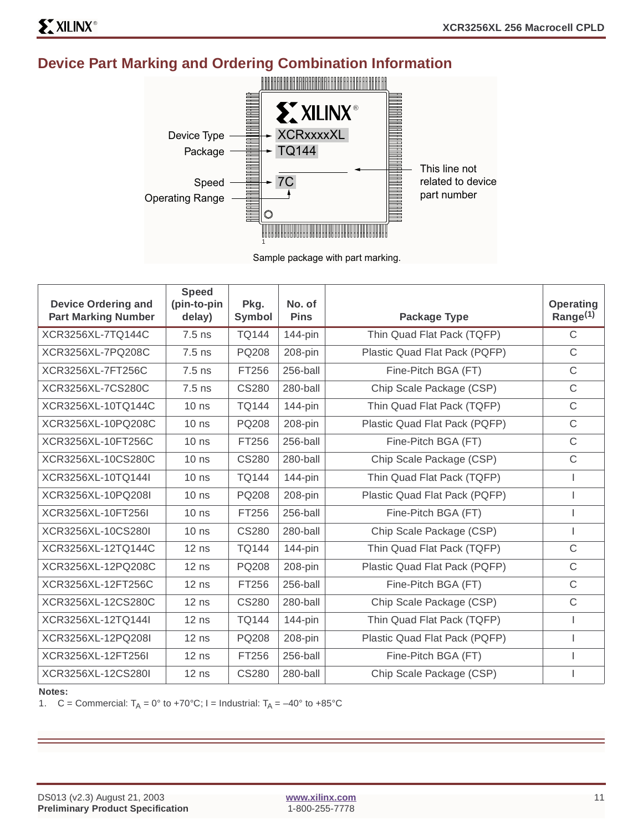# **Device Part Marking and Ordering Combination Information**



Sample package with part marking.

| <b>Device Ordering and</b><br><b>Part Marking Number</b> | <b>Speed</b><br>(pin-to-pin<br>delay) | Pkg.<br>Symbol | No. of<br><b>Pins</b> | <b>Package Type</b>           | <b>Operating</b><br>Range $(1)$ |
|----------------------------------------------------------|---------------------------------------|----------------|-----------------------|-------------------------------|---------------------------------|
| XCR3256XL-7TQ144C                                        | $7.5$ ns                              | <b>TQ144</b>   | $144$ -pin            | Thin Quad Flat Pack (TQFP)    | C                               |
| XCR3256XL-7PQ208C                                        | $7.5$ ns                              | PQ208          | 208-pin               | Plastic Quad Flat Pack (PQFP) | $\mathsf C$                     |
| XCR3256XL-7FT256C                                        | $7.5$ ns                              | FT256          | 256-ball              | Fine-Pitch BGA (FT)           | $\mathsf C$                     |
| XCR3256XL-7CS280C                                        | $7.5$ ns                              | <b>CS280</b>   | 280-ball              | Chip Scale Package (CSP)      | $\mathsf{C}$                    |
| XCR3256XL-10TQ144C                                       | 10 <sub>ns</sub>                      | <b>TQ144</b>   | 144-pin               | Thin Quad Flat Pack (TQFP)    | C                               |
| XCR3256XL-10PQ208C                                       | 10 <sub>ns</sub>                      | <b>PQ208</b>   | 208-pin               | Plastic Quad Flat Pack (PQFP) | C                               |
| XCR3256XL-10FT256C                                       | $10$ ns                               | FT256          | 256-ball              | Fine-Pitch BGA (FT)           | $\mathsf C$                     |
| XCR3256XL-10CS280C                                       | 10 <sub>ns</sub>                      | <b>CS280</b>   | 280-ball              | Chip Scale Package (CSP)      | $\mathsf C$                     |
| XCR3256XL-10TQ144I                                       | 10 <sub>ns</sub>                      | <b>TQ144</b>   | $144$ -pin            | Thin Quad Flat Pack (TQFP)    |                                 |
| XCR3256XL-10PQ208I                                       | 10 <sub>ns</sub>                      | PQ208          | 208-pin               | Plastic Quad Flat Pack (PQFP) |                                 |
| XCR3256XL-10FT256I                                       | 10 <sub>ns</sub>                      | FT256          | 256-ball              | Fine-Pitch BGA (FT)           |                                 |
| XCR3256XL-10CS280I                                       | 10 <sub>ns</sub>                      | <b>CS280</b>   | 280-ball              | Chip Scale Package (CSP)      |                                 |
| XCR3256XL-12TQ144C                                       | $12$ ns                               | <b>TQ144</b>   | $144$ -pin            | Thin Quad Flat Pack (TQFP)    | $\mathsf C$                     |
| XCR3256XL-12PQ208C                                       | $12$ ns                               | PQ208          | 208-pin               | Plastic Quad Flat Pack (PQFP) | $\mathsf{C}$                    |
| XCR3256XL-12FT256C                                       | $12$ ns                               | FT256          | 256-ball              | Fine-Pitch BGA (FT)           | C                               |
| XCR3256XL-12CS280C                                       | $12$ ns                               | <b>CS280</b>   | 280-ball              | Chip Scale Package (CSP)      | $\mathsf C$                     |
| XCR3256XL-12TQ144I                                       | $12$ ns                               | <b>TQ144</b>   | $144$ -pin            | Thin Quad Flat Pack (TQFP)    |                                 |
| XCR3256XL-12PQ208I                                       | $12$ ns                               | PQ208          | $208$ -pin            | Plastic Quad Flat Pack (PQFP) |                                 |
| XCR3256XL-12FT256I                                       | $12$ ns                               | FT256          | 256-ball              | Fine-Pitch BGA (FT)           |                                 |
| XCR3256XL-12CS280I                                       | $12$ ns                               | <b>CS280</b>   | 280-ball              | Chip Scale Package (CSP)      |                                 |

#### **Notes:**

1. C = Commercial:  $T_A = 0^\circ$  to +70°C; I = Industrial:  $T_A = -40^\circ$  to +85°C